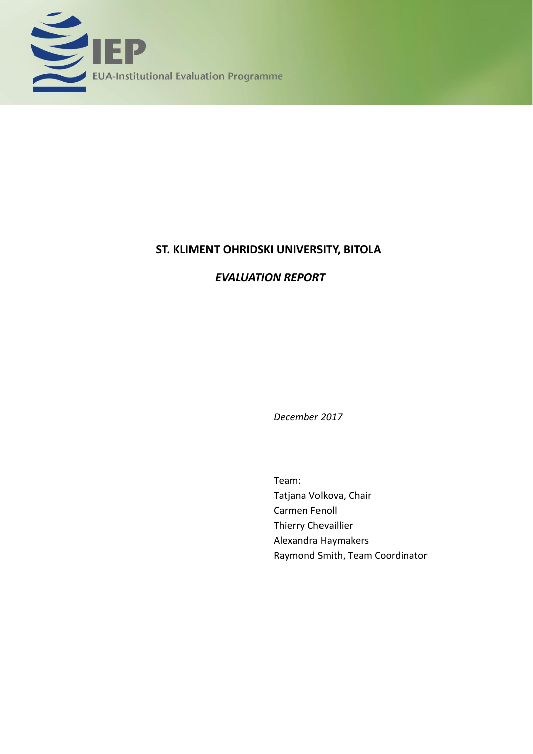

# **ST. KLIMENT OHRIDSKI UNIVERSITY, BITOLA**

# *EVALUATION REPORT*

*December 2017*

Team: Tatjana Volkova, Chair Carmen Fenoll Thierry Chevaillier Alexandra Haymakers Raymond Smith, Team Coordinator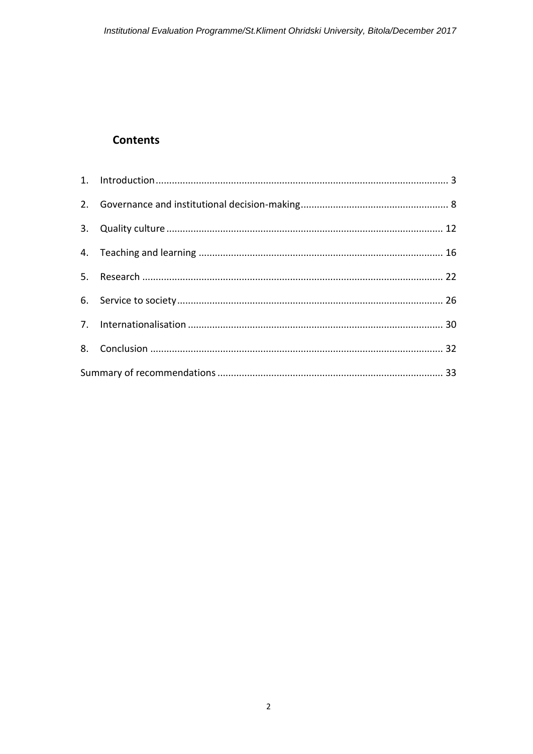# **Contents**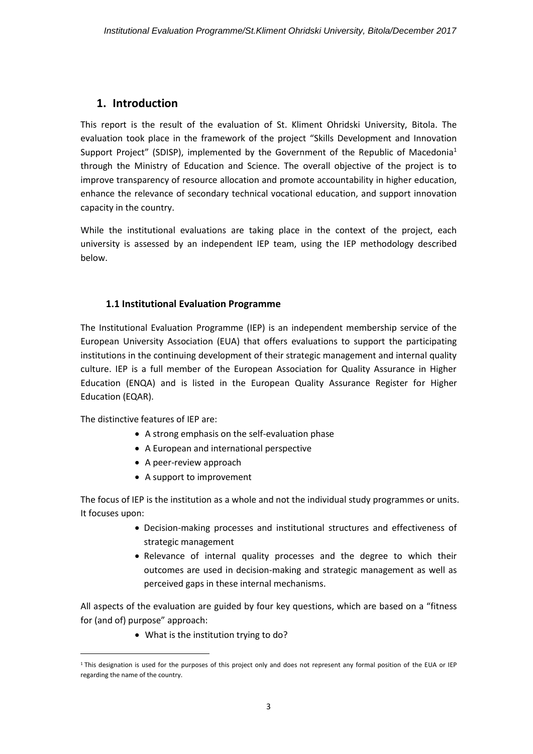## <span id="page-2-0"></span>**1. Introduction**

This report is the result of the evaluation of St. Kliment Ohridski University, Bitola. The evaluation took place in the framework of the project "Skills Development and Innovation Support Project" (SDISP), implemented by the Government of the Republic of Macedonia<sup>1</sup> through the Ministry of Education and Science. The overall objective of the project is to improve transparency of resource allocation and promote accountability in higher education, enhance the relevance of secondary technical vocational education, and support innovation capacity in the country.

While the institutional evaluations are taking place in the context of the project, each university is assessed by an independent IEP team, using the IEP methodology described below.

#### **1.1 Institutional Evaluation Programme**

The Institutional Evaluation Programme (IEP) is an independent membership service of the European University Association (EUA) that offers evaluations to support the participating institutions in the continuing development of their strategic management and internal quality culture. IEP is a full member of the European Association for Quality Assurance in Higher Education (ENQA) and is listed in the European Quality Assurance Register for Higher Education (EQAR).

The distinctive features of IEP are:

**.** 

- A strong emphasis on the self-evaluation phase
- A European and international perspective
- A peer-review approach
- A support to improvement

The focus of IEP is the institution as a whole and not the individual study programmes or units. It focuses upon:

- Decision-making processes and institutional structures and effectiveness of strategic management
- Relevance of internal quality processes and the degree to which their outcomes are used in decision-making and strategic management as well as perceived gaps in these internal mechanisms.

All aspects of the evaluation are guided by four key questions, which are based on a "fitness for (and of) purpose" approach:

• What is the institution trying to do?

<sup>&</sup>lt;sup>1</sup> This designation is used for the purposes of this project only and does not represent any formal position of the EUA or IEP regarding the name of the country.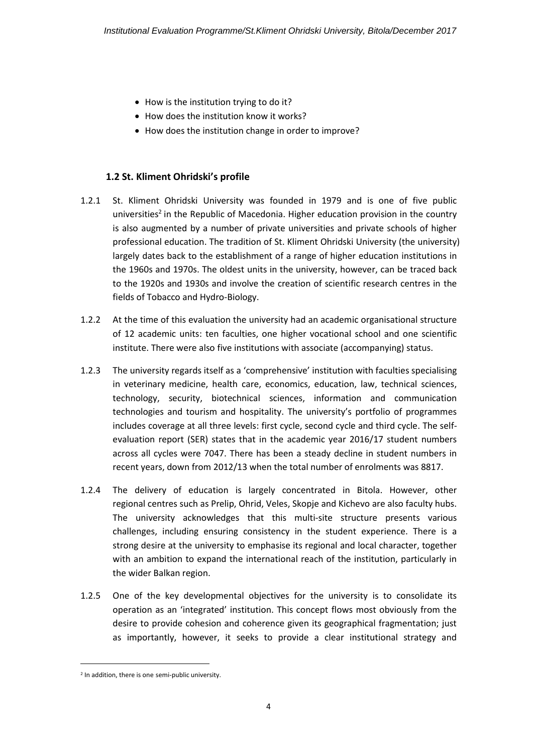- How is the institution trying to do it?
- How does the institution know it works?
- How does the institution change in order to improve?

#### **1.2 St. Kliment Ohridski's profile**

- 1.2.1 St. Kliment Ohridski University was founded in 1979 and is one of five public universities<sup>2</sup> in the Republic of Macedonia. Higher education provision in the country is also augmented by a number of private universities and private schools of higher professional education. The tradition of St. Kliment Ohridski University (the university) largely dates back to the establishment of a range of higher education institutions in the 1960s and 1970s. The oldest units in the university, however, can be traced back to the 1920s and 1930s and involve the creation of scientific research centres in the fields of Tobacco and Hydro-Biology.
- 1.2.2 At the time of this evaluation the university had an academic organisational structure of 12 academic units: ten faculties, one higher vocational school and one scientific institute. There were also five institutions with associate (accompanying) status.
- 1.2.3 The university regards itself as a 'comprehensive' institution with faculties specialising in veterinary medicine, health care, economics, education, law, technical sciences, technology, security, biotechnical sciences, information and communication technologies and tourism and hospitality. The university's portfolio of programmes includes coverage at all three levels: first cycle, second cycle and third cycle. The selfevaluation report (SER) states that in the academic year 2016/17 student numbers across all cycles were 7047. There has been a steady decline in student numbers in recent years, down from 2012/13 when the total number of enrolments was 8817.
- 1.2.4 The delivery of education is largely concentrated in Bitola. However, other regional centres such as Prelip, Ohrid, Veles, Skopje and Kichevo are also faculty hubs. The university acknowledges that this multi-site structure presents various challenges, including ensuring consistency in the student experience. There is a strong desire at the university to emphasise its regional and local character, together with an ambition to expand the international reach of the institution, particularly in the wider Balkan region.
- 1.2.5 One of the key developmental objectives for the university is to consolidate its operation as an 'integrated' institution. This concept flows most obviously from the desire to provide cohesion and coherence given its geographical fragmentation; just as importantly, however, it seeks to provide a clear institutional strategy and

**.** 

<sup>&</sup>lt;sup>2</sup> In addition, there is one semi-public university.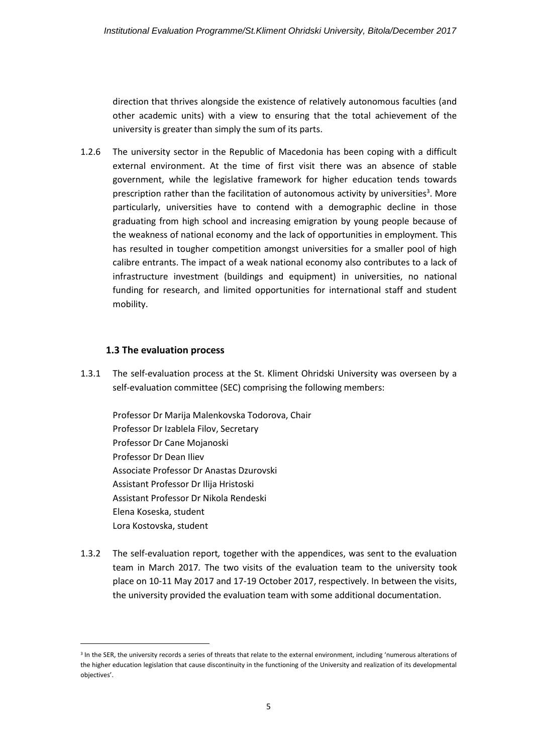direction that thrives alongside the existence of relatively autonomous faculties (and other academic units) with a view to ensuring that the total achievement of the university is greater than simply the sum of its parts.

1.2.6 The university sector in the Republic of Macedonia has been coping with a difficult external environment. At the time of first visit there was an absence of stable government, while the legislative framework for higher education tends towards prescription rather than the facilitation of autonomous activity by universities<sup>3</sup>. More particularly, universities have to contend with a demographic decline in those graduating from high school and increasing emigration by young people because of the weakness of national economy and the lack of opportunities in employment. This has resulted in tougher competition amongst universities for a smaller pool of high calibre entrants. The impact of a weak national economy also contributes to a lack of infrastructure investment (buildings and equipment) in universities, no national funding for research, and limited opportunities for international staff and student mobility.

#### **1.3 The evaluation process**

**.** 

1.3.1 The self-evaluation process at the St. Kliment Ohridski University was overseen by a self-evaluation committee (SEC) comprising the following members:

Professor Dr Marija Malenkovska Todorova, Chair Professor Dr Izablela Filov, Secretary Professor Dr Cane Mojanoski Professor Dr Dean Iliev Associate Professor Dr Anastas Dzurovski Assistant Professor Dr Ilija Hristoski Assistant Professor Dr Nikola Rendeski Elena Koseska, student Lora Kostovska, student

1.3.2 The self-evaluation report*,* together with the appendices, was sent to the evaluation team in March 2017*.* The two visits of the evaluation team to the university took place on 10-11 May 2017 and 17-19 October 2017, respectively. In between the visits, the university provided the evaluation team with some additional documentation.

<sup>&</sup>lt;sup>3</sup> In the SER, the university records a series of threats that relate to the external environment, including 'numerous alterations of the higher education legislation that cause discontinuity in the functioning of the University and realization of its developmental objectives'.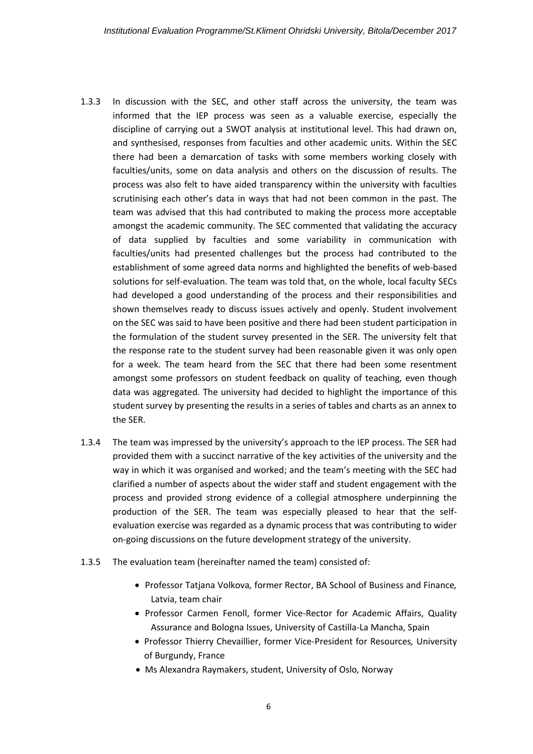- 1.3.3 In discussion with the SEC, and other staff across the university, the team was informed that the IEP process was seen as a valuable exercise, especially the discipline of carrying out a SWOT analysis at institutional level. This had drawn on, and synthesised, responses from faculties and other academic units. Within the SEC there had been a demarcation of tasks with some members working closely with faculties/units, some on data analysis and others on the discussion of results. The process was also felt to have aided transparency within the university with faculties scrutinising each other's data in ways that had not been common in the past. The team was advised that this had contributed to making the process more acceptable amongst the academic community. The SEC commented that validating the accuracy of data supplied by faculties and some variability in communication with faculties/units had presented challenges but the process had contributed to the establishment of some agreed data norms and highlighted the benefits of web-based solutions for self-evaluation. The team was told that, on the whole, local faculty SECs had developed a good understanding of the process and their responsibilities and shown themselves ready to discuss issues actively and openly. Student involvement on the SEC was said to have been positive and there had been student participation in the formulation of the student survey presented in the SER. The university felt that the response rate to the student survey had been reasonable given it was only open for a week. The team heard from the SEC that there had been some resentment amongst some professors on student feedback on quality of teaching, even though data was aggregated. The university had decided to highlight the importance of this student survey by presenting the results in a series of tables and charts as an annex to the SER.
- 1.3.4 The team was impressed by the university's approach to the IEP process. The SER had provided them with a succinct narrative of the key activities of the university and the way in which it was organised and worked; and the team's meeting with the SEC had clarified a number of aspects about the wider staff and student engagement with the process and provided strong evidence of a collegial atmosphere underpinning the production of the SER. The team was especially pleased to hear that the selfevaluation exercise was regarded as a dynamic process that was contributing to wider on-going discussions on the future development strategy of the university.
- 1.3.5 The evaluation team (hereinafter named the team) consisted of:
	- Professor Tatjana Volkova*,* former Rector, BA School of Business and Finance*,*  Latvia, team chair
	- Professor Carmen Fenoll, former Vice-Rector for Academic Affairs, Quality Assurance and Bologna Issues, University of Castilla-La Mancha, Spain
	- Professor Thierry Chevaillier, former Vice-President for Resources*,* University of Burgundy, France
	- Ms Alexandra Raymakers, student, University of Oslo*,* Norway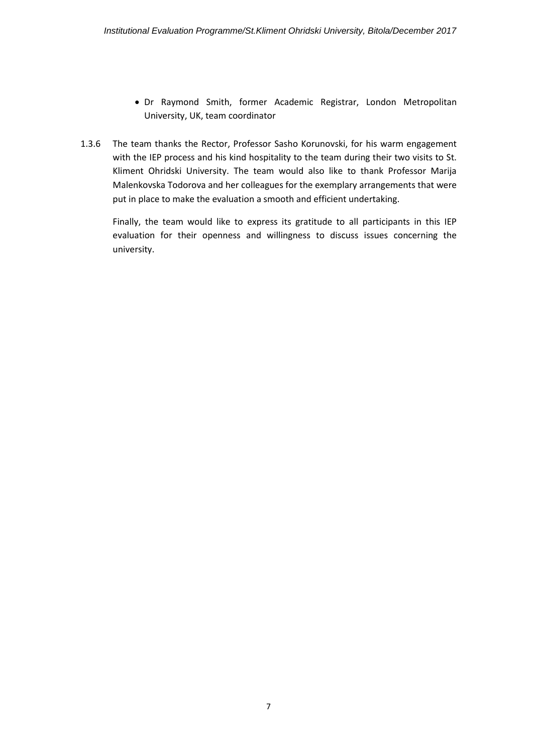- Dr Raymond Smith, former Academic Registrar, London Metropolitan University, UK, team coordinator
- 1.3.6 The team thanks the Rector, Professor Sasho Korunovski, for his warm engagement with the IEP process and his kind hospitality to the team during their two visits to St. Kliment Ohridski University. The team would also like to thank Professor Marija Malenkovska Todorova and her colleagues for the exemplary arrangements that were put in place to make the evaluation a smooth and efficient undertaking.

Finally, the team would like to express its gratitude to all participants in this IEP evaluation for their openness and willingness to discuss issues concerning the university.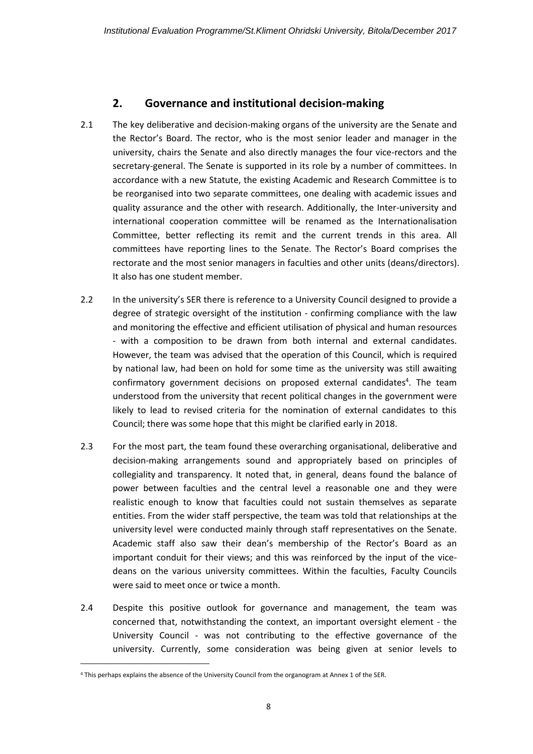## **2. Governance and institutional decision-making**

- <span id="page-7-0"></span>2.1 The key deliberative and decision-making organs of the university are the Senate and the Rector's Board. The rector, who is the most senior leader and manager in the university, chairs the Senate and also directly manages the four vice-rectors and the secretary-general. The Senate is supported in its role by a number of committees. In accordance with a new Statute, the existing Academic and Research Committee is to be reorganised into two separate committees, one dealing with academic issues and quality assurance and the other with research. Additionally, the Inter-university and international cooperation committee will be renamed as the Internationalisation Committee, better reflecting its remit and the current trends in this area. All committees have reporting lines to the Senate. The Rector's Board comprises the rectorate and the most senior managers in faculties and other units (deans/directors). It also has one student member.
- 2.2 In the university's SER there is reference to a University Council designed to provide a degree of strategic oversight of the institution - confirming compliance with the law and monitoring the effective and efficient utilisation of physical and human resources - with a composition to be drawn from both internal and external candidates. However, the team was advised that the operation of this Council, which is required by national law, had been on hold for some time as the university was still awaiting confirmatory government decisions on proposed external candidates<sup>4</sup>. The team understood from the university that recent political changes in the government were likely to lead to revised criteria for the nomination of external candidates to this Council; there was some hope that this might be clarified early in 2018.
- 2.3 For the most part, the team found these overarching organisational, deliberative and decision-making arrangements sound and appropriately based on principles of collegiality and transparency. It noted that, in general, deans found the balance of power between faculties and the central level a reasonable one and they were realistic enough to know that faculties could not sustain themselves as separate entities. From the wider staff perspective, the team was told that relationships at the university level were conducted mainly through staff representatives on the Senate. Academic staff also saw their dean's membership of the Rector's Board as an important conduit for their views; and this was reinforced by the input of the vicedeans on the various university committees. Within the faculties, Faculty Councils were said to meet once or twice a month.
- 2.4 Despite this positive outlook for governance and management, the team was concerned that, notwithstanding the context, an important oversight element - the University Council - was not contributing to the effective governance of the university. Currently, some consideration was being given at senior levels to

**.** 

<sup>4</sup> This perhaps explains the absence of the University Council from the organogram at Annex 1 of the SER.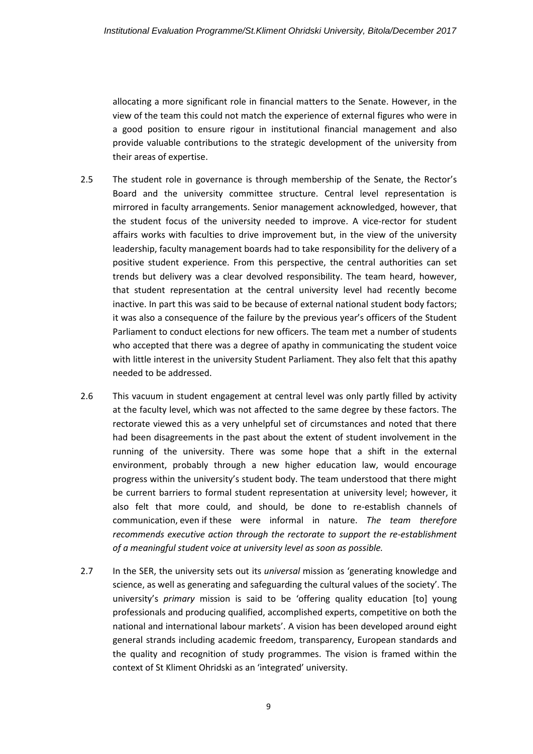allocating a more significant role in financial matters to the Senate. However, in the view of the team this could not match the experience of external figures who were in a good position to ensure rigour in institutional financial management and also provide valuable contributions to the strategic development of the university from their areas of expertise.

- 2.5 The student role in governance is through membership of the Senate, the Rector's Board and the university committee structure. Central level representation is mirrored in faculty arrangements. Senior management acknowledged, however, that the student focus of the university needed to improve. A vice-rector for student affairs works with faculties to drive improvement but, in the view of the university leadership, faculty management boards had to take responsibility for the delivery of a positive student experience. From this perspective, the central authorities can set trends but delivery was a clear devolved responsibility. The team heard, however, that student representation at the central university level had recently become inactive. In part this was said to be because of external national student body factors; it was also a consequence of the failure by the previous year's officers of the Student Parliament to conduct elections for new officers. The team met a number of students who accepted that there was a degree of apathy in communicating the student voice with little interest in the university Student Parliament. They also felt that this apathy needed to be addressed.
- 2.6 This vacuum in student engagement at central level was only partly filled by activity at the faculty level, which was not affected to the same degree by these factors. The rectorate viewed this as a very unhelpful set of circumstances and noted that there had been disagreements in the past about the extent of student involvement in the running of the university. There was some hope that a shift in the external environment, probably through a new higher education law, would encourage progress within the university's student body. The team understood that there might be current barriers to formal student representation at university level; however, it also felt that more could, and should, be done to re-establish channels of communication, even if these were informal in nature. *The team therefore recommends executive action through the rectorate to support the re-establishment of a meaningful student voice at university level as soon as possible.*
- 2.7 In the SER, the university sets out its *universal* mission as 'generating knowledge and science, as well as generating and safeguarding the cultural values of the society'. The university's *primary* mission is said to be 'offering quality education [to] young professionals and producing qualified, accomplished experts, competitive on both the national and international labour markets'. A vision has been developed around eight general strands including academic freedom, transparency, European standards and the quality and recognition of study programmes. The vision is framed within the context of St Kliment Ohridski as an 'integrated' university.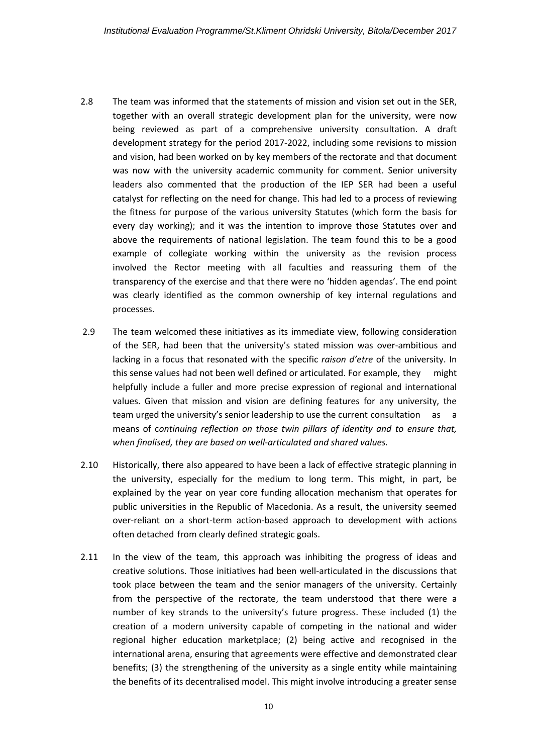- 2.8 The team was informed that the statements of mission and vision set out in the SER, together with an overall strategic development plan for the university, were now being reviewed as part of a comprehensive university consultation. A draft development strategy for the period 2017-2022, including some revisions to mission and vision, had been worked on by key members of the rectorate and that document was now with the university academic community for comment. Senior university leaders also commented that the production of the IEP SER had been a useful catalyst for reflecting on the need for change. This had led to a process of reviewing the fitness for purpose of the various university Statutes (which form the basis for every day working); and it was the intention to improve those Statutes over and above the requirements of national legislation. The team found this to be a good example of collegiate working within the university as the revision process involved the Rector meeting with all faculties and reassuring them of the transparency of the exercise and that there were no 'hidden agendas'. The end point was clearly identified as the common ownership of key internal regulations and processes.
- 2.9 The team welcomed these initiatives as its immediate view, following consideration of the SER, had been that the university's stated mission was over-ambitious and lacking in a focus that resonated with the specific *raison d'etre* of the university. In this sense values had not been well defined or articulated. For example, they might helpfully include a fuller and more precise expression of regional and international values. Given that mission and vision are defining features for any university, the team urged the university's senior leadership to use the current consultation as a means of c*ontinuing reflection on those twin pillars of identity and to ensure that, when finalised, they are based on well-articulated and shared values.*
- 2.10 Historically, there also appeared to have been a lack of effective strategic planning in the university, especially for the medium to long term. This might, in part, be explained by the year on year core funding allocation mechanism that operates for public universities in the Republic of Macedonia. As a result, the university seemed over-reliant on a short-term action-based approach to development with actions often detached from clearly defined strategic goals.
- 2.11 In the view of the team, this approach was inhibiting the progress of ideas and creative solutions. Those initiatives had been well-articulated in the discussions that took place between the team and the senior managers of the university. Certainly from the perspective of the rectorate, the team understood that there were a number of key strands to the university's future progress. These included (1) the creation of a modern university capable of competing in the national and wider regional higher education marketplace; (2) being active and recognised in the international arena, ensuring that agreements were effective and demonstrated clear benefits; (3) the strengthening of the university as a single entity while maintaining the benefits of its decentralised model. This might involve introducing a greater sense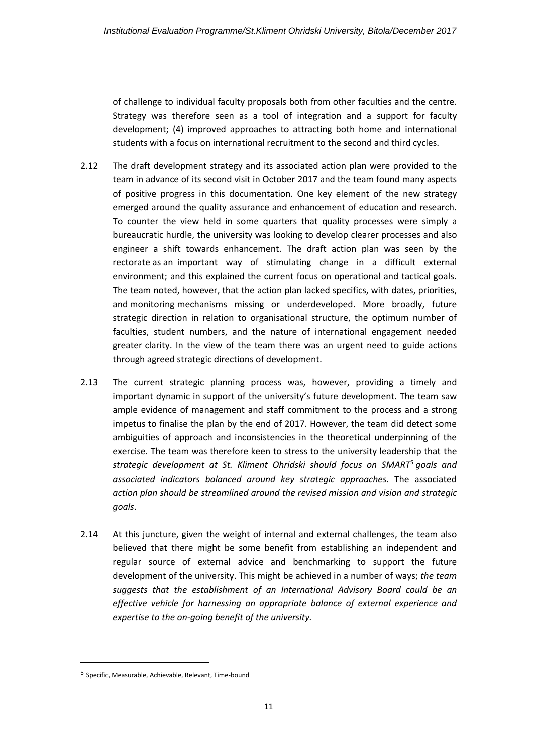of challenge to individual faculty proposals both from other faculties and the centre. Strategy was therefore seen as a tool of integration and a support for faculty development; (4) improved approaches to attracting both home and international students with a focus on international recruitment to the second and third cycles.

- 2.12 The draft development strategy and its associated action plan were provided to the team in advance of its second visit in October 2017 and the team found many aspects of positive progress in this documentation. One key element of the new strategy emerged around the quality assurance and enhancement of education and research. To counter the view held in some quarters that quality processes were simply a bureaucratic hurdle, the university was looking to develop clearer processes and also engineer a shift towards enhancement. The draft action plan was seen by the rectorate as an important way of stimulating change in a difficult external environment; and this explained the current focus on operational and tactical goals. The team noted, however, that the action plan lacked specifics, with dates, priorities, and monitoring mechanisms missing or underdeveloped. More broadly, future strategic direction in relation to organisational structure, the optimum number of faculties, student numbers, and the nature of international engagement needed greater clarity. In the view of the team there was an urgent need to guide actions through agreed strategic directions of development.
- 2.13 The current strategic planning process was, however, providing a timely and important dynamic in support of the university's future development. The team saw ample evidence of management and staff commitment to the process and a strong impetus to finalise the plan by the end of 2017. However, the team did detect some ambiguities of approach and inconsistencies in the theoretical underpinning of the exercise. The team was therefore keen to stress to the university leadership that the *strategic development at St. Kliment Ohridski should focus on SMART<sup>5</sup> goals and associated indicators balanced around key strategic approaches*. The associated *action plan should be streamlined around the revised mission and vision and strategic goals*.
- 2.14 At this juncture, given the weight of internal and external challenges, the team also believed that there might be some benefit from establishing an independent and regular source of external advice and benchmarking to support the future development of the university. This might be achieved in a number of ways; *the team suggests that the establishment of an International Advisory Board could be an effective vehicle for harnessing an appropriate balance of external experience and expertise to the on-going benefit of the university.*

**.** 

<sup>5</sup> Specific, Measurable, Achievable, Relevant, Time-bound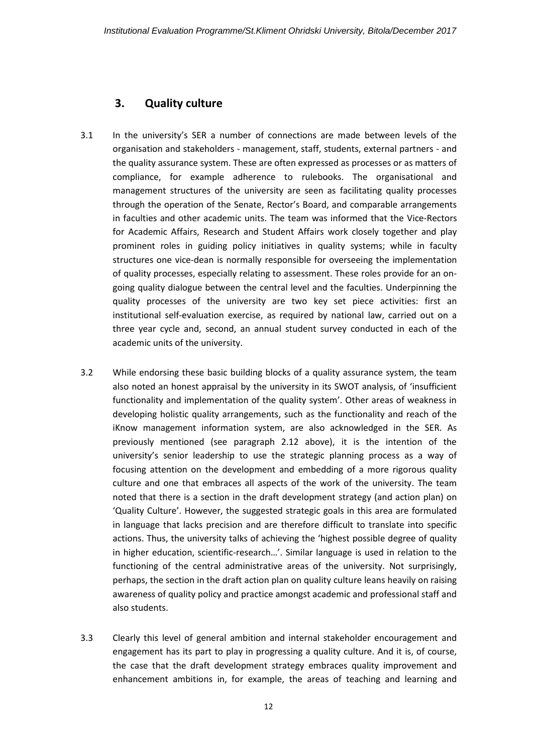### <span id="page-11-0"></span>**3. Quality culture**

- 3.1 In the university's SER a number of connections are made between levels of the organisation and stakeholders - management, staff, students, external partners - and the quality assurance system. These are often expressed as processes or as matters of compliance, for example adherence to rulebooks. The organisational and management structures of the university are seen as facilitating quality processes through the operation of the Senate, Rector's Board, and comparable arrangements in faculties and other academic units. The team was informed that the Vice-Rectors for Academic Affairs, Research and Student Affairs work closely together and play prominent roles in guiding policy initiatives in quality systems; while in faculty structures one vice-dean is normally responsible for overseeing the implementation of quality processes, especially relating to assessment. These roles provide for an ongoing quality dialogue between the central level and the faculties. Underpinning the quality processes of the university are two key set piece activities: first an institutional self-evaluation exercise, as required by national law, carried out on a three year cycle and, second, an annual student survey conducted in each of the academic units of the university.
- 3.2 While endorsing these basic building blocks of a quality assurance system, the team also noted an honest appraisal by the university in its SWOT analysis, of 'insufficient functionality and implementation of the quality system'. Other areas of weakness in developing holistic quality arrangements, such as the functionality and reach of the iKnow management information system, are also acknowledged in the SER. As previously mentioned (see paragraph 2.12 above), it is the intention of the university's senior leadership to use the strategic planning process as a way of focusing attention on the development and embedding of a more rigorous quality culture and one that embraces all aspects of the work of the university. The team noted that there is a section in the draft development strategy (and action plan) on 'Quality Culture'. However, the suggested strategic goals in this area are formulated in language that lacks precision and are therefore difficult to translate into specific actions. Thus, the university talks of achieving the 'highest possible degree of quality in higher education, scientific-research…'. Similar language is used in relation to the functioning of the central administrative areas of the university. Not surprisingly, perhaps, the section in the draft action plan on quality culture leans heavily on raising awareness of quality policy and practice amongst academic and professional staff and also students.
- 3.3 Clearly this level of general ambition and internal stakeholder encouragement and engagement has its part to play in progressing a quality culture. And it is, of course, the case that the draft development strategy embraces quality improvement and enhancement ambitions in, for example, the areas of teaching and learning and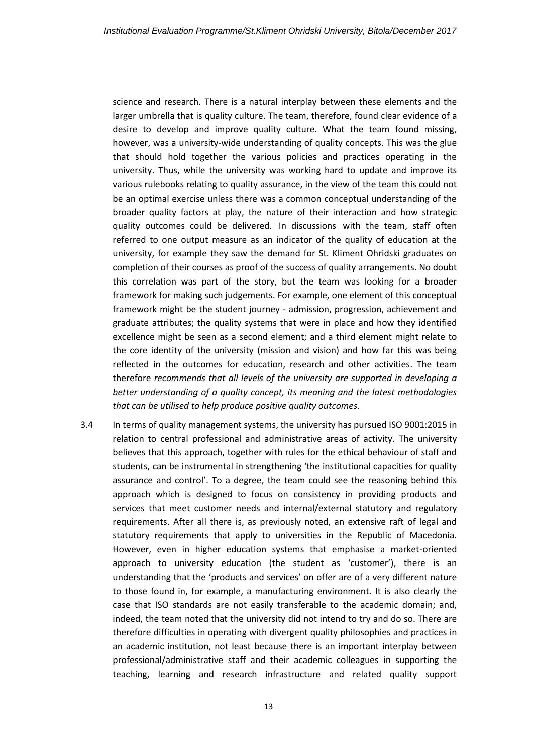science and research. There is a natural interplay between these elements and the larger umbrella that is quality culture. The team, therefore, found clear evidence of a desire to develop and improve quality culture. What the team found missing, however, was a university-wide understanding of quality concepts. This was the glue that should hold together the various policies and practices operating in the university. Thus, while the university was working hard to update and improve its various rulebooks relating to quality assurance, in the view of the team this could not be an optimal exercise unless there was a common conceptual understanding of the broader quality factors at play, the nature of their interaction and how strategic quality outcomes could be delivered. In discussions with the team, staff often referred to one output measure as an indicator of the quality of education at the university, for example they saw the demand for St. Kliment Ohridski graduates on completion of their courses as proof of the success of quality arrangements. No doubt this correlation was part of the story, but the team was looking for a broader framework for making such judgements. For example, one element of this conceptual framework might be the student journey - admission, progression, achievement and graduate attributes; the quality systems that were in place and how they identified excellence might be seen as a second element; and a third element might relate to the core identity of the university (mission and vision) and how far this was being reflected in the outcomes for education, research and other activities. The team therefore *recommends that all levels of the university are supported in developing a better understanding of a quality concept, its meaning and the latest methodologies that can be utilised to help produce positive quality outcomes*.

3.4 In terms of quality management systems, the university has pursued ISO 9001:2015 in relation to central professional and administrative areas of activity. The university believes that this approach, together with rules for the ethical behaviour of staff and students, can be instrumental in strengthening 'the institutional capacities for quality assurance and control'. To a degree, the team could see the reasoning behind this approach which is designed to focus on consistency in providing products and services that meet customer needs and internal/external statutory and regulatory requirements. After all there is, as previously noted, an extensive raft of legal and statutory requirements that apply to universities in the Republic of Macedonia. However, even in higher education systems that emphasise a market-oriented approach to university education (the student as 'customer'), there is an understanding that the 'products and services' on offer are of a very different nature to those found in, for example, a manufacturing environment. It is also clearly the case that ISO standards are not easily transferable to the academic domain; and, indeed, the team noted that the university did not intend to try and do so. There are therefore difficulties in operating with divergent quality philosophies and practices in an academic institution, not least because there is an important interplay between professional/administrative staff and their academic colleagues in supporting the teaching, learning and research infrastructure and related quality support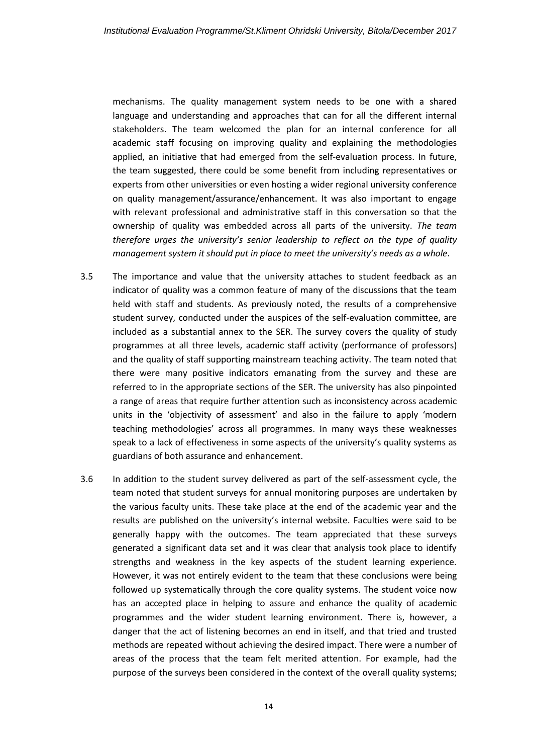mechanisms. The quality management system needs to be one with a shared language and understanding and approaches that can for all the different internal stakeholders. The team welcomed the plan for an internal conference for all academic staff focusing on improving quality and explaining the methodologies applied, an initiative that had emerged from the self-evaluation process. In future, the team suggested, there could be some benefit from including representatives or experts from other universities or even hosting a wider regional university conference on quality management/assurance/enhancement. It was also important to engage with relevant professional and administrative staff in this conversation so that the ownership of quality was embedded across all parts of the university. *The team therefore urges the university's senior leadership to reflect on the type of quality management system it should put in place to meet the university's needs as a whole*.

- 3.5 The importance and value that the university attaches to student feedback as an indicator of quality was a common feature of many of the discussions that the team held with staff and students. As previously noted, the results of a comprehensive student survey, conducted under the auspices of the self-evaluation committee, are included as a substantial annex to the SER. The survey covers the quality of study programmes at all three levels, academic staff activity (performance of professors) and the quality of staff supporting mainstream teaching activity. The team noted that there were many positive indicators emanating from the survey and these are referred to in the appropriate sections of the SER. The university has also pinpointed a range of areas that require further attention such as inconsistency across academic units in the 'objectivity of assessment' and also in the failure to apply 'modern teaching methodologies' across all programmes. In many ways these weaknesses speak to a lack of effectiveness in some aspects of the university's quality systems as guardians of both assurance and enhancement.
- 3.6 In addition to the student survey delivered as part of the self-assessment cycle, the team noted that student surveys for annual monitoring purposes are undertaken by the various faculty units. These take place at the end of the academic year and the results are published on the university's internal website. Faculties were said to be generally happy with the outcomes. The team appreciated that these surveys generated a significant data set and it was clear that analysis took place to identify strengths and weakness in the key aspects of the student learning experience. However, it was not entirely evident to the team that these conclusions were being followed up systematically through the core quality systems. The student voice now has an accepted place in helping to assure and enhance the quality of academic programmes and the wider student learning environment. There is, however, a danger that the act of listening becomes an end in itself, and that tried and trusted methods are repeated without achieving the desired impact. There were a number of areas of the process that the team felt merited attention. For example, had the purpose of the surveys been considered in the context of the overall quality systems;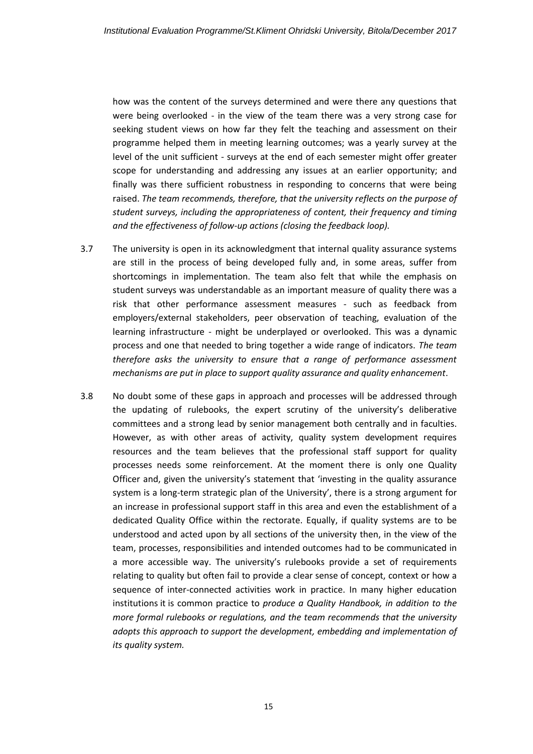how was the content of the surveys determined and were there any questions that were being overlooked - in the view of the team there was a very strong case for seeking student views on how far they felt the teaching and assessment on their programme helped them in meeting learning outcomes; was a yearly survey at the level of the unit sufficient - surveys at the end of each semester might offer greater scope for understanding and addressing any issues at an earlier opportunity; and finally was there sufficient robustness in responding to concerns that were being raised. *The team recommends, therefore, that the university reflects on the purpose of student surveys, including the appropriateness of content, their frequency and timing and the effectiveness of follow-up actions (closing the feedback loop).*

- 3.7 The university is open in its acknowledgment that internal quality assurance systems are still in the process of being developed fully and, in some areas, suffer from shortcomings in implementation. The team also felt that while the emphasis on student surveys was understandable as an important measure of quality there was a risk that other performance assessment measures - such as feedback from employers/external stakeholders, peer observation of teaching, evaluation of the learning infrastructure - might be underplayed or overlooked. This was a dynamic process and one that needed to bring together a wide range of indicators. *The team therefore asks the university to ensure that a range of performance assessment mechanisms are put in place to support quality assurance and quality enhancement*.
- 3.8 No doubt some of these gaps in approach and processes will be addressed through the updating of rulebooks, the expert scrutiny of the university's deliberative committees and a strong lead by senior management both centrally and in faculties. However, as with other areas of activity, quality system development requires resources and the team believes that the professional staff support for quality processes needs some reinforcement. At the moment there is only one Quality Officer and, given the university's statement that 'investing in the quality assurance system is a long-term strategic plan of the University', there is a strong argument for an increase in professional support staff in this area and even the establishment of a dedicated Quality Office within the rectorate. Equally, if quality systems are to be understood and acted upon by all sections of the university then, in the view of the team, processes, responsibilities and intended outcomes had to be communicated in a more accessible way. The university's rulebooks provide a set of requirements relating to quality but often fail to provide a clear sense of concept, context or how a sequence of inter-connected activities work in practice. In many higher education institutions it is common practice to *produce a Quality Handbook, in addition to the more formal rulebooks or regulations, and the team recommends that the university adopts this approach to support the development, embedding and implementation of its quality system.*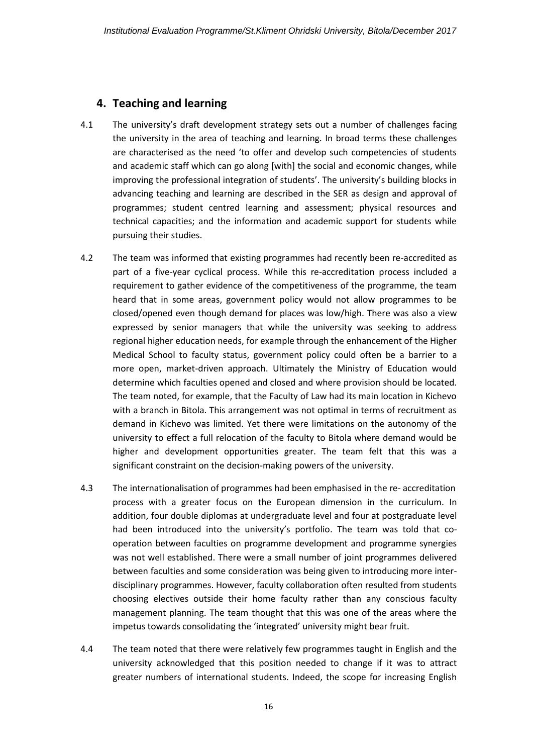#### <span id="page-15-0"></span>**4. Teaching and learning**

- 4.1 The university's draft development strategy sets out a number of challenges facing the university in the area of teaching and learning. In broad terms these challenges are characterised as the need 'to offer and develop such competencies of students and academic staff which can go along [with] the social and economic changes, while improving the professional integration of students'. The university's building blocks in advancing teaching and learning are described in the SER as design and approval of programmes; student centred learning and assessment; physical resources and technical capacities; and the information and academic support for students while pursuing their studies.
- 4.2 The team was informed that existing programmes had recently been re-accredited as part of a five-year cyclical process. While this re-accreditation process included a requirement to gather evidence of the competitiveness of the programme, the team heard that in some areas, government policy would not allow programmes to be closed/opened even though demand for places was low/high. There was also a view expressed by senior managers that while the university was seeking to address regional higher education needs, for example through the enhancement of the Higher Medical School to faculty status, government policy could often be a barrier to a more open, market-driven approach. Ultimately the Ministry of Education would determine which faculties opened and closed and where provision should be located. The team noted, for example, that the Faculty of Law had its main location in Kichevo with a branch in Bitola. This arrangement was not optimal in terms of recruitment as demand in Kichevo was limited. Yet there were limitations on the autonomy of the university to effect a full relocation of the faculty to Bitola where demand would be higher and development opportunities greater. The team felt that this was a significant constraint on the decision-making powers of the university.
- 4.3 The internationalisation of programmes had been emphasised in the re- accreditation process with a greater focus on the European dimension in the curriculum. In addition, four double diplomas at undergraduate level and four at postgraduate level had been introduced into the university's portfolio. The team was told that cooperation between faculties on programme development and programme synergies was not well established. There were a small number of joint programmes delivered between faculties and some consideration was being given to introducing more interdisciplinary programmes. However, faculty collaboration often resulted from students choosing electives outside their home faculty rather than any conscious faculty management planning. The team thought that this was one of the areas where the impetus towards consolidating the 'integrated' university might bear fruit.
- 4.4 The team noted that there were relatively few programmes taught in English and the university acknowledged that this position needed to change if it was to attract greater numbers of international students. Indeed, the scope for increasing English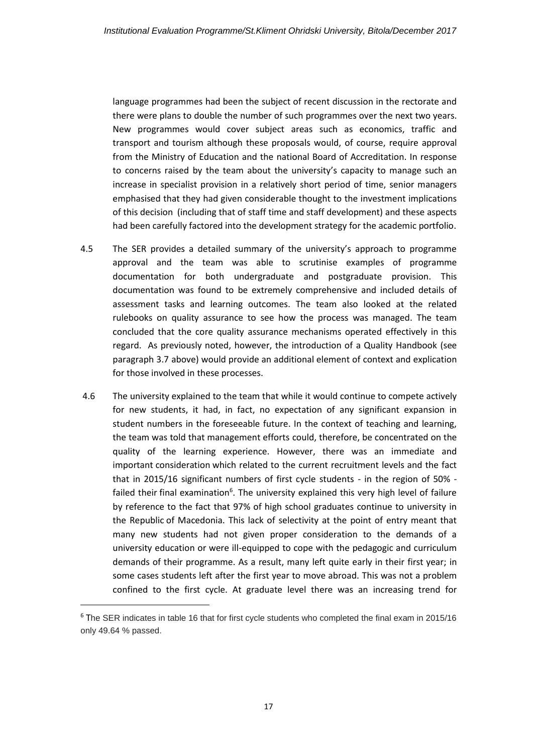language programmes had been the subject of recent discussion in the rectorate and there were plans to double the number of such programmes over the next two years. New programmes would cover subject areas such as economics, traffic and transport and tourism although these proposals would, of course, require approval from the Ministry of Education and the national Board of Accreditation. In response to concerns raised by the team about the university's capacity to manage such an increase in specialist provision in a relatively short period of time, senior managers emphasised that they had given considerable thought to the investment implications of this decision (including that of staff time and staff development) and these aspects had been carefully factored into the development strategy for the academic portfolio.

- 4.5 The SER provides a detailed summary of the university's approach to programme approval and the team was able to scrutinise examples of programme documentation for both undergraduate and postgraduate provision. This documentation was found to be extremely comprehensive and included details of assessment tasks and learning outcomes. The team also looked at the related rulebooks on quality assurance to see how the process was managed. The team concluded that the core quality assurance mechanisms operated effectively in this regard. As previously noted, however, the introduction of a Quality Handbook (see paragraph 3.7 above) would provide an additional element of context and explication for those involved in these processes.
- 4.6 The university explained to the team that while it would continue to compete actively for new students, it had, in fact, no expectation of any significant expansion in student numbers in the foreseeable future. In the context of teaching and learning, the team was told that management efforts could, therefore, be concentrated on the quality of the learning experience. However, there was an immediate and important consideration which related to the current recruitment levels and the fact that in 2015/16 significant numbers of first cycle students - in the region of 50% failed their final examination<sup>6</sup>. The university explained this very high level of failure by reference to the fact that 97% of high school graduates continue to university in the Republic of Macedonia. This lack of selectivity at the point of entry meant that many new students had not given proper consideration to the demands of a university education or were ill-equipped to cope with the pedagogic and curriculum demands of their programme. As a result, many left quite early in their first year; in some cases students left after the first year to move abroad. This was not a problem confined to the first cycle. At graduate level there was an increasing trend for

1

 $6$  The SER indicates in table 16 that for first cycle students who completed the final exam in 2015/16 only 49.64 % passed.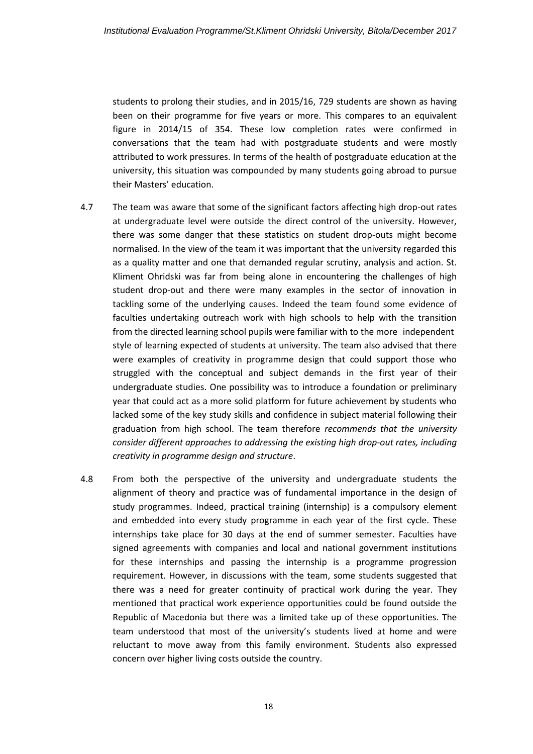students to prolong their studies, and in 2015/16, 729 students are shown as having been on their programme for five years or more. This compares to an equivalent figure in 2014/15 of 354. These low completion rates were confirmed in conversations that the team had with postgraduate students and were mostly attributed to work pressures. In terms of the health of postgraduate education at the university, this situation was compounded by many students going abroad to pursue their Masters' education.

- 4.7 The team was aware that some of the significant factors affecting high drop-out rates at undergraduate level were outside the direct control of the university. However, there was some danger that these statistics on student drop-outs might become normalised. In the view of the team it was important that the university regarded this as a quality matter and one that demanded regular scrutiny, analysis and action. St. Kliment Ohridski was far from being alone in encountering the challenges of high student drop-out and there were many examples in the sector of innovation in tackling some of the underlying causes. Indeed the team found some evidence of faculties undertaking outreach work with high schools to help with the transition from the directed learning school pupils were familiar with to the more independent style of learning expected of students at university. The team also advised that there were examples of creativity in programme design that could support those who struggled with the conceptual and subject demands in the first year of their undergraduate studies. One possibility was to introduce a foundation or preliminary year that could act as a more solid platform for future achievement by students who lacked some of the key study skills and confidence in subject material following their graduation from high school. The team therefore *recommends that the university consider different approaches to addressing the existing high drop-out rates, including creativity in programme design and structure*.
- 4.8 From both the perspective of the university and undergraduate students the alignment of theory and practice was of fundamental importance in the design of study programmes. Indeed, practical training (internship) is a compulsory element and embedded into every study programme in each year of the first cycle. These internships take place for 30 days at the end of summer semester. Faculties have signed agreements with companies and local and national government institutions for these internships and passing the internship is a programme progression requirement. However, in discussions with the team, some students suggested that there was a need for greater continuity of practical work during the year. They mentioned that practical work experience opportunities could be found outside the Republic of Macedonia but there was a limited take up of these opportunities. The team understood that most of the university's students lived at home and were reluctant to move away from this family environment. Students also expressed concern over higher living costs outside the country.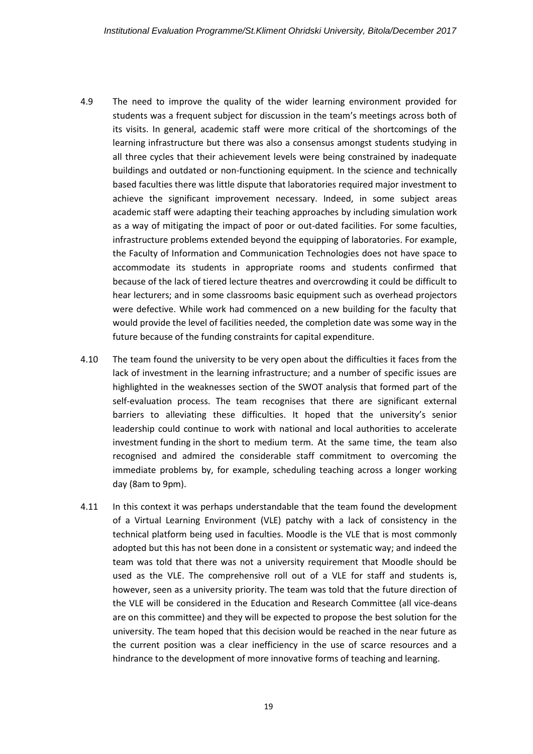- 4.9 The need to improve the quality of the wider learning environment provided for students was a frequent subject for discussion in the team's meetings across both of its visits. In general, academic staff were more critical of the shortcomings of the learning infrastructure but there was also a consensus amongst students studying in all three cycles that their achievement levels were being constrained by inadequate buildings and outdated or non-functioning equipment. In the science and technically based faculties there was little dispute that laboratories required major investment to achieve the significant improvement necessary. Indeed, in some subject areas academic staff were adapting their teaching approaches by including simulation work as a way of mitigating the impact of poor or out-dated facilities. For some faculties, infrastructure problems extended beyond the equipping of laboratories. For example, the Faculty of Information and Communication Technologies does not have space to accommodate its students in appropriate rooms and students confirmed that because of the lack of tiered lecture theatres and overcrowding it could be difficult to hear lecturers; and in some classrooms basic equipment such as overhead projectors were defective. While work had commenced on a new building for the faculty that would provide the level of facilities needed, the completion date was some way in the future because of the funding constraints for capital expenditure.
- 4.10 The team found the university to be very open about the difficulties it faces from the lack of investment in the learning infrastructure; and a number of specific issues are highlighted in the weaknesses section of the SWOT analysis that formed part of the self-evaluation process. The team recognises that there are significant external barriers to alleviating these difficulties. It hoped that the university's senior leadership could continue to work with national and local authorities to accelerate investment funding in the short to medium term. At the same time, the team also recognised and admired the considerable staff commitment to overcoming the immediate problems by, for example, scheduling teaching across a longer working day (8am to 9pm).
- 4.11 In this context it was perhaps understandable that the team found the development of a Virtual Learning Environment (VLE) patchy with a lack of consistency in the technical platform being used in faculties. Moodle is the VLE that is most commonly adopted but this has not been done in a consistent or systematic way; and indeed the team was told that there was not a university requirement that Moodle should be used as the VLE. The comprehensive roll out of a VLE for staff and students is, however, seen as a university priority. The team was told that the future direction of the VLE will be considered in the Education and Research Committee (all vice-deans are on this committee) and they will be expected to propose the best solution for the university. The team hoped that this decision would be reached in the near future as the current position was a clear inefficiency in the use of scarce resources and a hindrance to the development of more innovative forms of teaching and learning.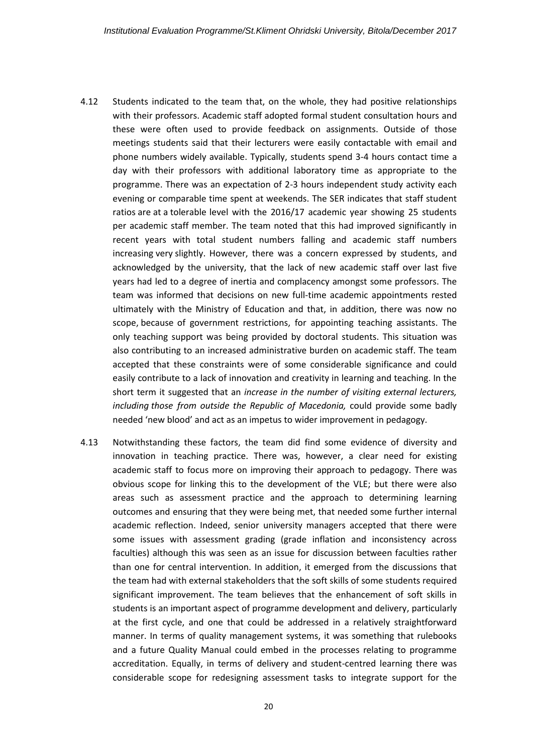- 4.12 Students indicated to the team that, on the whole, they had positive relationships with their professors. Academic staff adopted formal student consultation hours and these were often used to provide feedback on assignments. Outside of those meetings students said that their lecturers were easily contactable with email and phone numbers widely available. Typically, students spend 3-4 hours contact time a day with their professors with additional laboratory time as appropriate to the programme. There was an expectation of 2-3 hours independent study activity each evening or comparable time spent at weekends. The SER indicates that staff student ratios are at a tolerable level with the 2016/17 academic year showing 25 students per academic staff member. The team noted that this had improved significantly in recent years with total student numbers falling and academic staff numbers increasing very slightly. However, there was a concern expressed by students, and acknowledged by the university, that the lack of new academic staff over last five years had led to a degree of inertia and complacency amongst some professors. The team was informed that decisions on new full-time academic appointments rested ultimately with the Ministry of Education and that, in addition, there was now no scope, because of government restrictions, for appointing teaching assistants. The only teaching support was being provided by doctoral students. This situation was also contributing to an increased administrative burden on academic staff. The team accepted that these constraints were of some considerable significance and could easily contribute to a lack of innovation and creativity in learning and teaching. In the short term it suggested that an *increase in the number of visiting external lecturers, including those from outside the Republic of Macedonia,* could provide some badly needed 'new blood' and act as an impetus to wider improvement in pedagogy*.*
- 4.13 Notwithstanding these factors, the team did find some evidence of diversity and innovation in teaching practice. There was, however, a clear need for existing academic staff to focus more on improving their approach to pedagogy. There was obvious scope for linking this to the development of the VLE; but there were also areas such as assessment practice and the approach to determining learning outcomes and ensuring that they were being met, that needed some further internal academic reflection. Indeed, senior university managers accepted that there were some issues with assessment grading (grade inflation and inconsistency across faculties) although this was seen as an issue for discussion between faculties rather than one for central intervention. In addition, it emerged from the discussions that the team had with external stakeholders that the soft skills of some students required significant improvement. The team believes that the enhancement of soft skills in students is an important aspect of programme development and delivery, particularly at the first cycle, and one that could be addressed in a relatively straightforward manner. In terms of quality management systems, it was something that rulebooks and a future Quality Manual could embed in the processes relating to programme accreditation. Equally, in terms of delivery and student-centred learning there was considerable scope for redesigning assessment tasks to integrate support for the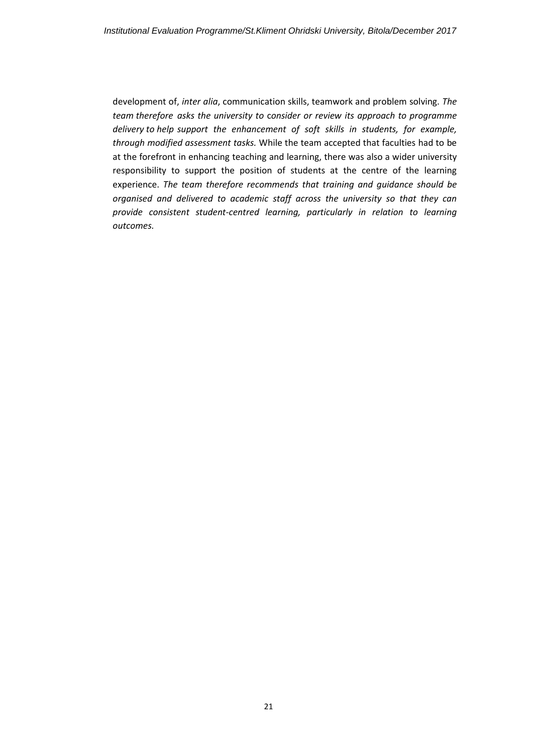development of, *inter alia*, communication skills, teamwork and problem solving. *The team therefore asks the university to* c*onsider or review its approach to programme delivery to help support the enhancement of soft skills in students, for example, through modified assessment tasks.* While the team accepted that faculties had to be at the forefront in enhancing teaching and learning, there was also a wider university responsibility to support the position of students at the centre of the learning experience. *The team therefore recommends that training and guidance should be organised and delivered to academic staff across the university so that they can provide consistent student-centred learning, particularly in relation to learning outcomes.*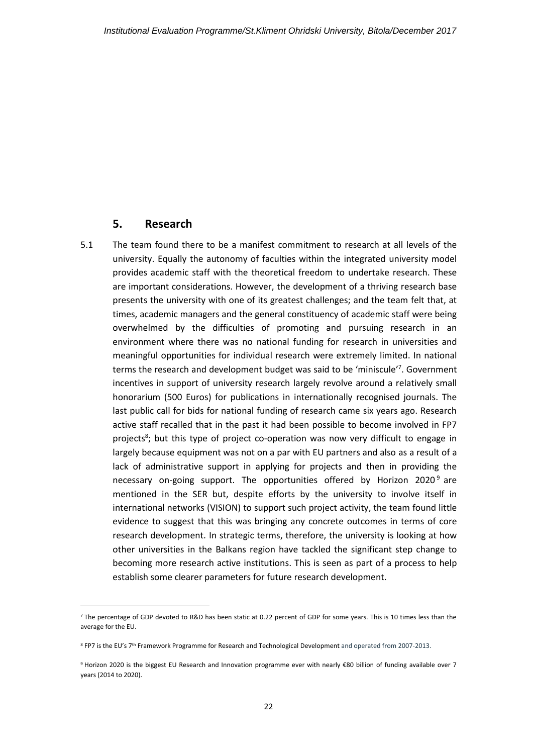#### **5. Research**

**.** 

<span id="page-21-0"></span>5.1 The team found there to be a manifest commitment to research at all levels of the university. Equally the autonomy of faculties within the integrated university model provides academic staff with the theoretical freedom to undertake research. These are important considerations. However, the development of a thriving research base presents the university with one of its greatest challenges; and the team felt that, at times, academic managers and the general constituency of academic staff were being overwhelmed by the difficulties of promoting and pursuing research in an environment where there was no national funding for research in universities and meaningful opportunities for individual research were extremely limited. In national terms the research and development budget was said to be 'miniscule'<sup>7</sup> . Government incentives in support of university research largely revolve around a relatively small honorarium (500 Euros) for publications in internationally recognised journals. The last public call for bids for national funding of research came six years ago. Research active staff recalled that in the past it had been possible to become involved in FP7 projects<sup>8</sup>; but this type of project co-operation was now very difficult to engage in largely because equipment was not on a par with EU partners and also as a result of a lack of administrative support in applying for projects and then in providing the necessary on-going support. The opportunities offered by Horizon 2020<sup>9</sup> are mentioned in the SER but, despite efforts by the university to involve itself in international networks (VISION) to support such project activity, the team found little evidence to suggest that this was bringing any concrete outcomes in terms of core research development. In strategic terms, therefore, the university is looking at how other universities in the Balkans region have tackled the significant step change to becoming more research active institutions. This is seen as part of a process to help establish some clearer parameters for future research development.

 $7$  The percentage of GDP devoted to R&D has been static at 0.22 percent of GDP for some years. This is 10 times less than the average for the EU.

<sup>&</sup>lt;sup>8</sup> FP7 is the EU's 7<sup>th</sup> Framework Programme for Research and Technological Development and operated from 2007-2013.

<sup>9</sup> Horizon 2020 is the biggest EU Research and Innovation programme ever with nearly €80 billion of funding available over 7 years (2014 to 2020).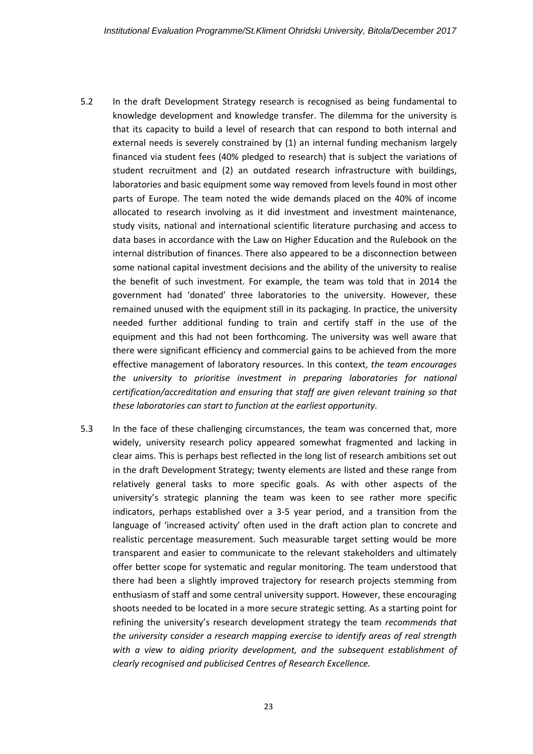- 5.2 In the draft Development Strategy research is recognised as being fundamental to knowledge development and knowledge transfer. The dilemma for the university is that its capacity to build a level of research that can respond to both internal and external needs is severely constrained by (1) an internal funding mechanism largely financed via student fees (40% pledged to research) that is subject the variations of student recruitment and (2) an outdated research infrastructure with buildings, laboratories and basic equipment some way removed from levels found in most other parts of Europe. The team noted the wide demands placed on the 40% of income allocated to research involving as it did investment and investment maintenance, study visits, national and international scientific literature purchasing and access to data bases in accordance with the Law on Higher Education and the Rulebook on the internal distribution of finances. There also appeared to be a disconnection between some national capital investment decisions and the ability of the university to realise the benefit of such investment. For example, the team was told that in 2014 the government had 'donated' three laboratories to the university. However, these remained unused with the equipment still in its packaging. In practice, the university needed further additional funding to train and certify staff in the use of the equipment and this had not been forthcoming. The university was well aware that there were significant efficiency and commercial gains to be achieved from the more effective management of laboratory resources. In this context, *the team encourages the university to prioritise investment in preparing laboratories for national certification/accreditation and ensuring that staff are given relevant training so that these laboratories can start to function at the earliest opportunity.*
- 5.3 In the face of these challenging circumstances, the team was concerned that, more widely, university research policy appeared somewhat fragmented and lacking in clear aims. This is perhaps best reflected in the long list of research ambitions set out in the draft Development Strategy; twenty elements are listed and these range from relatively general tasks to more specific goals. As with other aspects of the university's strategic planning the team was keen to see rather more specific indicators, perhaps established over a 3-5 year period, and a transition from the language of 'increased activity' often used in the draft action plan to concrete and realistic percentage measurement. Such measurable target setting would be more transparent and easier to communicate to the relevant stakeholders and ultimately offer better scope for systematic and regular monitoring. The team understood that there had been a slightly improved trajectory for research projects stemming from enthusiasm of staff and some central university support. However, these encouraging shoots needed to be located in a more secure strategic setting. As a starting point for refining the university's research development strategy the team *recommends that the university* c*onsider a research mapping exercise to identify areas of real strength with a view to aiding priority development, and the subsequent establishment of clearly recognised and publicised Centres of Research Excellence.*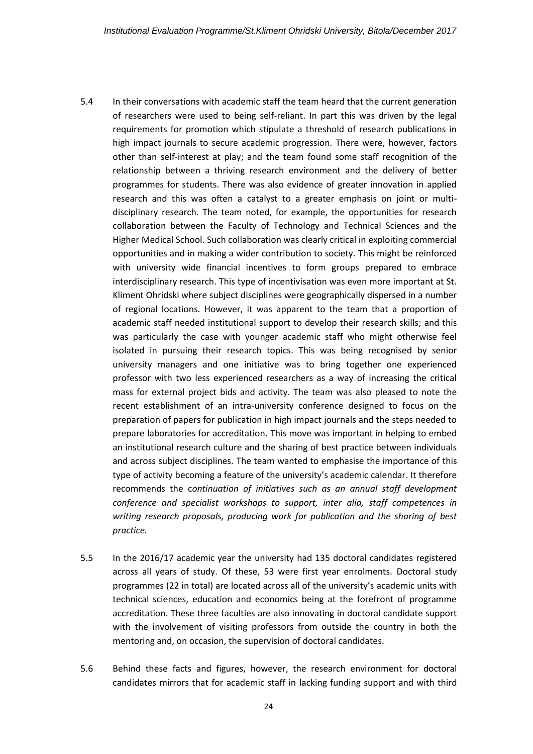- 5.4 In their conversations with academic staff the team heard that the current generation of researchers were used to being self-reliant. In part this was driven by the legal requirements for promotion which stipulate a threshold of research publications in high impact journals to secure academic progression. There were, however, factors other than self-interest at play; and the team found some staff recognition of the relationship between a thriving research environment and the delivery of better programmes for students. There was also evidence of greater innovation in applied research and this was often a catalyst to a greater emphasis on joint or multidisciplinary research. The team noted, for example, the opportunities for research collaboration between the Faculty of Technology and Technical Sciences and the Higher Medical School. Such collaboration was clearly critical in exploiting commercial opportunities and in making a wider contribution to society. This might be reinforced with university wide financial incentives to form groups prepared to embrace interdisciplinary research. This type of incentivisation was even more important at St. Kliment Ohridski where subject disciplines were geographically dispersed in a number of regional locations. However, it was apparent to the team that a proportion of academic staff needed institutional support to develop their research skills; and this was particularly the case with younger academic staff who might otherwise feel isolated in pursuing their research topics. This was being recognised by senior university managers and one initiative was to bring together one experienced professor with two less experienced researchers as a way of increasing the critical mass for external project bids and activity. The team was also pleased to note the recent establishment of an intra-university conference designed to focus on the preparation of papers for publication in high impact journals and the steps needed to prepare laboratories for accreditation. This move was important in helping to embed an institutional research culture and the sharing of best practice between individuals and across subject disciplines. The team wanted to emphasise the importance of this type of activity becoming a feature of the university's academic calendar. It therefore recommends the c*ontinuation of initiatives such as an annual staff development conference and specialist workshops to support, inter alia, staff competences in writing research proposals, producing work for publication and the sharing of best practice.*
- 5.5 In the 2016/17 academic year the university had 135 doctoral candidates registered across all years of study. Of these, 53 were first year enrolments. Doctoral study programmes (22 in total) are located across all of the university's academic units with technical sciences, education and economics being at the forefront of programme accreditation. These three faculties are also innovating in doctoral candidate support with the involvement of visiting professors from outside the country in both the mentoring and, on occasion, the supervision of doctoral candidates.
- 5.6 Behind these facts and figures, however, the research environment for doctoral candidates mirrors that for academic staff in lacking funding support and with third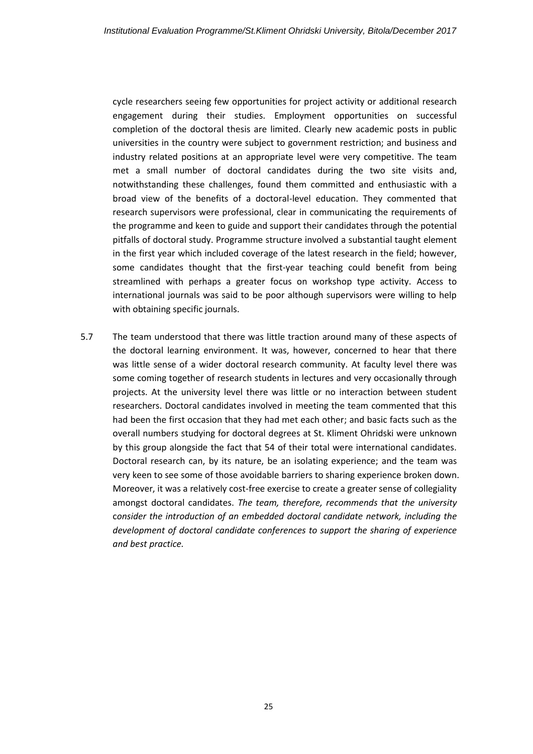cycle researchers seeing few opportunities for project activity or additional research engagement during their studies. Employment opportunities on successful completion of the doctoral thesis are limited. Clearly new academic posts in public universities in the country were subject to government restriction; and business and industry related positions at an appropriate level were very competitive. The team met a small number of doctoral candidates during the two site visits and, notwithstanding these challenges, found them committed and enthusiastic with a broad view of the benefits of a doctoral-level education. They commented that research supervisors were professional, clear in communicating the requirements of the programme and keen to guide and support their candidates through the potential pitfalls of doctoral study. Programme structure involved a substantial taught element in the first year which included coverage of the latest research in the field; however, some candidates thought that the first-year teaching could benefit from being streamlined with perhaps a greater focus on workshop type activity. Access to international journals was said to be poor although supervisors were willing to help with obtaining specific journals.

5.7 The team understood that there was little traction around many of these aspects of the doctoral learning environment. It was, however, concerned to hear that there was little sense of a wider doctoral research community. At faculty level there was some coming together of research students in lectures and very occasionally through projects. At the university level there was little or no interaction between student researchers. Doctoral candidates involved in meeting the team commented that this had been the first occasion that they had met each other; and basic facts such as the overall numbers studying for doctoral degrees at St. Kliment Ohridski were unknown by this group alongside the fact that 54 of their total were international candidates. Doctoral research can, by its nature, be an isolating experience; and the team was very keen to see some of those avoidable barriers to sharing experience broken down. Moreover, it was a relatively cost-free exercise to create a greater sense of collegiality amongst doctoral candidates. *The team, therefore, recommends that the university*  c*onsider the introduction of an embedded doctoral candidate network, including the development of doctoral candidate conferences to support the sharing of experience and best practice.*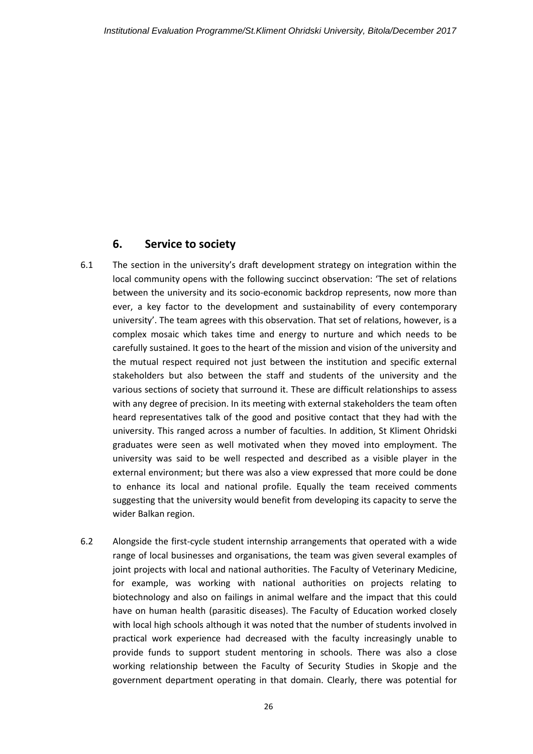## <span id="page-25-0"></span>**6. Service to society**

- 6.1 The section in the university's draft development strategy on integration within the local community opens with the following succinct observation: 'The set of relations between the university and its socio-economic backdrop represents, now more than ever, a key factor to the development and sustainability of every contemporary university'. The team agrees with this observation. That set of relations, however, is a complex mosaic which takes time and energy to nurture and which needs to be carefully sustained. It goes to the heart of the mission and vision of the university and the mutual respect required not just between the institution and specific external stakeholders but also between the staff and students of the university and the various sections of society that surround it. These are difficult relationships to assess with any degree of precision. In its meeting with external stakeholders the team often heard representatives talk of the good and positive contact that they had with the university. This ranged across a number of faculties. In addition, St Kliment Ohridski graduates were seen as well motivated when they moved into employment. The university was said to be well respected and described as a visible player in the external environment; but there was also a view expressed that more could be done to enhance its local and national profile. Equally the team received comments suggesting that the university would benefit from developing its capacity to serve the wider Balkan region.
- 6.2 Alongside the first-cycle student internship arrangements that operated with a wide range of local businesses and organisations, the team was given several examples of joint projects with local and national authorities. The Faculty of Veterinary Medicine, for example, was working with national authorities on projects relating to biotechnology and also on failings in animal welfare and the impact that this could have on human health (parasitic diseases). The Faculty of Education worked closely with local high schools although it was noted that the number of students involved in practical work experience had decreased with the faculty increasingly unable to provide funds to support student mentoring in schools. There was also a close working relationship between the Faculty of Security Studies in Skopje and the government department operating in that domain. Clearly, there was potential for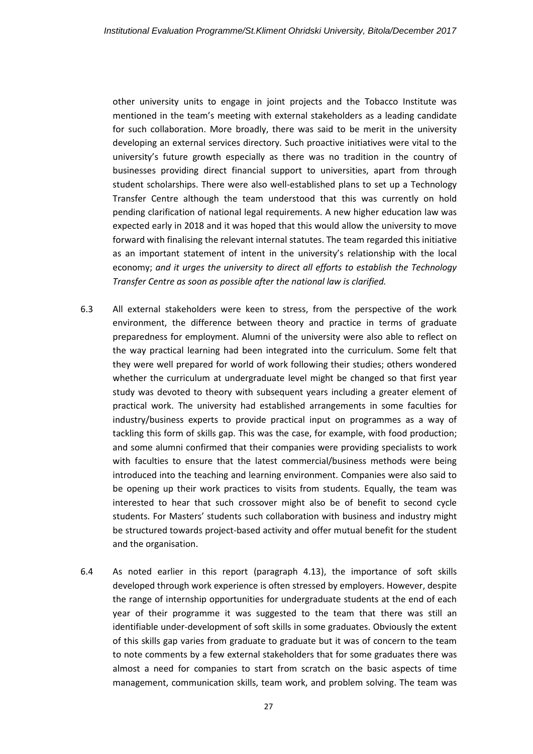other university units to engage in joint projects and the Tobacco Institute was mentioned in the team's meeting with external stakeholders as a leading candidate for such collaboration. More broadly, there was said to be merit in the university developing an external services directory. Such proactive initiatives were vital to the university's future growth especially as there was no tradition in the country of businesses providing direct financial support to universities, apart from through student scholarships. There were also well-established plans to set up a Technology Transfer Centre although the team understood that this was currently on hold pending clarification of national legal requirements. A new higher education law was expected early in 2018 and it was hoped that this would allow the university to move forward with finalising the relevant internal statutes. The team regarded this initiative as an important statement of intent in the university's relationship with the local economy; *and it urges the university to direct all efforts to establish the Technology Transfer Centre as soon as possible after the national law is clarified.*

- 6.3 All external stakeholders were keen to stress, from the perspective of the work environment, the difference between theory and practice in terms of graduate preparedness for employment. Alumni of the university were also able to reflect on the way practical learning had been integrated into the curriculum. Some felt that they were well prepared for world of work following their studies; others wondered whether the curriculum at undergraduate level might be changed so that first year study was devoted to theory with subsequent years including a greater element of practical work. The university had established arrangements in some faculties for industry/business experts to provide practical input on programmes as a way of tackling this form of skills gap. This was the case, for example, with food production; and some alumni confirmed that their companies were providing specialists to work with faculties to ensure that the latest commercial/business methods were being introduced into the teaching and learning environment. Companies were also said to be opening up their work practices to visits from students. Equally, the team was interested to hear that such crossover might also be of benefit to second cycle students. For Masters' students such collaboration with business and industry might be structured towards project-based activity and offer mutual benefit for the student and the organisation.
- 6.4 As noted earlier in this report (paragraph 4.13), the importance of soft skills developed through work experience is often stressed by employers. However, despite the range of internship opportunities for undergraduate students at the end of each year of their programme it was suggested to the team that there was still an identifiable under-development of soft skills in some graduates. Obviously the extent of this skills gap varies from graduate to graduate but it was of concern to the team to note comments by a few external stakeholders that for some graduates there was almost a need for companies to start from scratch on the basic aspects of time management, communication skills, team work, and problem solving. The team was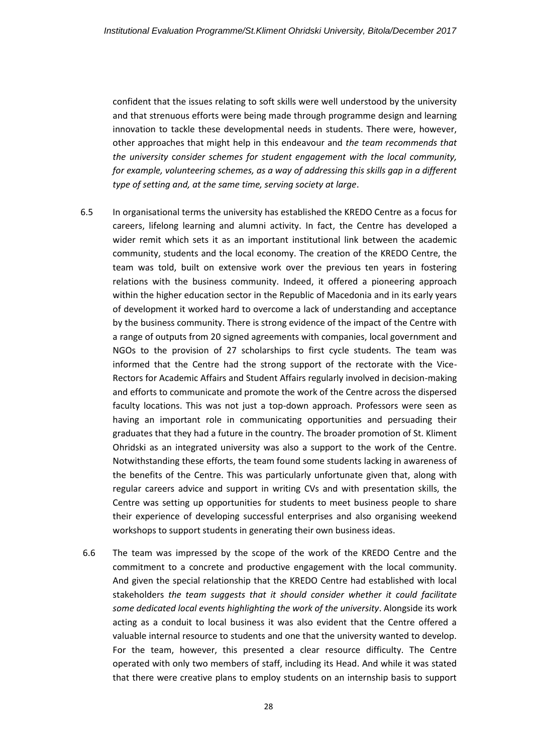confident that the issues relating to soft skills were well understood by the university and that strenuous efforts were being made through programme design and learning innovation to tackle these developmental needs in students. There were, however, other approaches that might help in this endeavour and *the team recommends that the university* c*onsider schemes for student engagement with the local community, for example, volunteering schemes, as a way of addressing this skills gap in a different type of setting and, at the same time, serving society at large*.

- 6.5 In organisational terms the university has established the KREDO Centre as a focus for careers, lifelong learning and alumni activity. In fact, the Centre has developed a wider remit which sets it as an important institutional link between the academic community, students and the local economy. The creation of the KREDO Centre, the team was told, built on extensive work over the previous ten years in fostering relations with the business community. Indeed, it offered a pioneering approach within the higher education sector in the Republic of Macedonia and in its early years of development it worked hard to overcome a lack of understanding and acceptance by the business community. There is strong evidence of the impact of the Centre with a range of outputs from 20 signed agreements with companies, local government and NGOs to the provision of 27 scholarships to first cycle students. The team was informed that the Centre had the strong support of the rectorate with the Vice-Rectors for Academic Affairs and Student Affairs regularly involved in decision-making and efforts to communicate and promote the work of the Centre across the dispersed faculty locations. This was not just a top-down approach. Professors were seen as having an important role in communicating opportunities and persuading their graduates that they had a future in the country. The broader promotion of St. Kliment Ohridski as an integrated university was also a support to the work of the Centre. Notwithstanding these efforts, the team found some students lacking in awareness of the benefits of the Centre. This was particularly unfortunate given that, along with regular careers advice and support in writing CVs and with presentation skills, the Centre was setting up opportunities for students to meet business people to share their experience of developing successful enterprises and also organising weekend workshops to support students in generating their own business ideas.
- 6.6 The team was impressed by the scope of the work of the KREDO Centre and the commitment to a concrete and productive engagement with the local community. And given the special relationship that the KREDO Centre had established with local stakeholders *the team suggests that it should consider whether it could facilitate some dedicated local events highlighting the work of the university*. Alongside its work acting as a conduit to local business it was also evident that the Centre offered a valuable internal resource to students and one that the university wanted to develop. For the team, however, this presented a clear resource difficulty. The Centre operated with only two members of staff, including its Head. And while it was stated that there were creative plans to employ students on an internship basis to support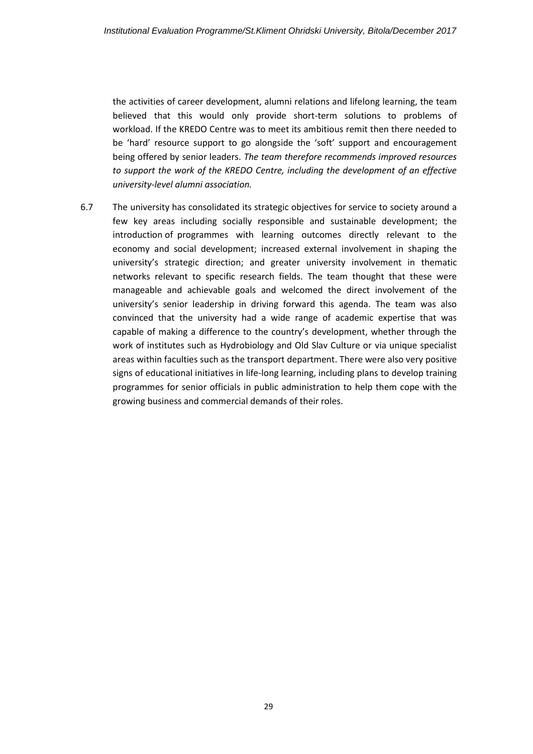the activities of career development, alumni relations and lifelong learning, the team believed that this would only provide short-term solutions to problems of workload. If the KREDO Centre was to meet its ambitious remit then there needed to be 'hard' resource support to go alongside the 'soft' support and encouragement being offered by senior leaders. *The team therefore recommends improved resources to support the work of the KREDO Centre, including the development of an effective university-level alumni association.*

6.7 The university has consolidated its strategic objectives for service to society around a few key areas including socially responsible and sustainable development; the introduction of programmes with learning outcomes directly relevant to the economy and social development; increased external involvement in shaping the university's strategic direction; and greater university involvement in thematic networks relevant to specific research fields. The team thought that these were manageable and achievable goals and welcomed the direct involvement of the university's senior leadership in driving forward this agenda. The team was also convinced that the university had a wide range of academic expertise that was capable of making a difference to the country's development, whether through the work of institutes such as Hydrobiology and Old Slav Culture or via unique specialist areas within faculties such as the transport department. There were also very positive signs of educational initiatives in life-long learning, including plans to develop training programmes for senior officials in public administration to help them cope with the growing business and commercial demands of their roles.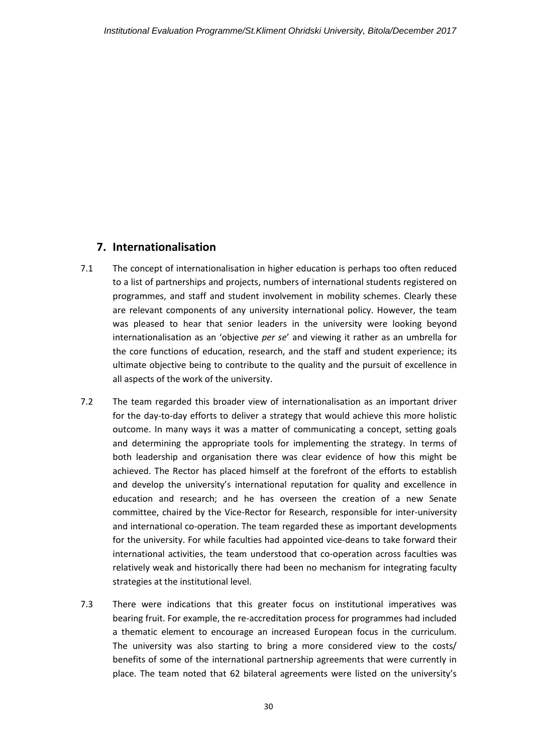## <span id="page-29-0"></span>**7. Internationalisation**

- 7.1 The concept of internationalisation in higher education is perhaps too often reduced to a list of partnerships and projects, numbers of international students registered on programmes, and staff and student involvement in mobility schemes. Clearly these are relevant components of any university international policy. However, the team was pleased to hear that senior leaders in the university were looking beyond internationalisation as an 'objective *per se*' and viewing it rather as an umbrella for the core functions of education, research, and the staff and student experience; its ultimate objective being to contribute to the quality and the pursuit of excellence in all aspects of the work of the university.
- 7.2 The team regarded this broader view of internationalisation as an important driver for the day-to-day efforts to deliver a strategy that would achieve this more holistic outcome. In many ways it was a matter of communicating a concept, setting goals and determining the appropriate tools for implementing the strategy. In terms of both leadership and organisation there was clear evidence of how this might be achieved. The Rector has placed himself at the forefront of the efforts to establish and develop the university's international reputation for quality and excellence in education and research; and he has overseen the creation of a new Senate committee, chaired by the Vice-Rector for Research, responsible for inter-university and international co-operation. The team regarded these as important developments for the university. For while faculties had appointed vice-deans to take forward their international activities, the team understood that co-operation across faculties was relatively weak and historically there had been no mechanism for integrating faculty strategies at the institutional level.
- 7.3 There were indications that this greater focus on institutional imperatives was bearing fruit. For example, the re-accreditation process for programmes had included a thematic element to encourage an increased European focus in the curriculum. The university was also starting to bring a more considered view to the costs/ benefits of some of the international partnership agreements that were currently in place. The team noted that 62 bilateral agreements were listed on the university's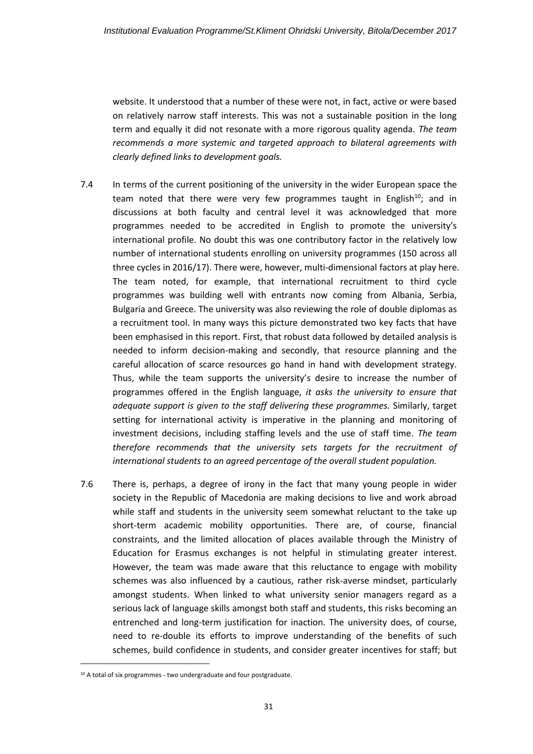website. It understood that a number of these were not, in fact, active or were based on relatively narrow staff interests. This was not a sustainable position in the long term and equally it did not resonate with a more rigorous quality agenda. *The team recommends a more systemic and targeted approach to bilateral agreements with clearly defined links to development goals.*

- 7.4 In terms of the current positioning of the university in the wider European space the team noted that there were very few programmes taught in English<sup>10</sup>; and in discussions at both faculty and central level it was acknowledged that more programmes needed to be accredited in English to promote the university's international profile. No doubt this was one contributory factor in the relatively low number of international students enrolling on university programmes (150 across all three cycles in 2016/17). There were, however, multi-dimensional factors at play here. The team noted, for example, that international recruitment to third cycle programmes was building well with entrants now coming from Albania, Serbia, Bulgaria and Greece. The university was also reviewing the role of double diplomas as a recruitment tool. In many ways this picture demonstrated two key facts that have been emphasised in this report. First, that robust data followed by detailed analysis is needed to inform decision-making and secondly, that resource planning and the careful allocation of scarce resources go hand in hand with development strategy. Thus, while the team supports the university's desire to increase the number of programmes offered in the English language, *it asks the university to ensure that adequate support is given to the staff delivering these programmes.* Similarly, target setting for international activity is imperative in the planning and monitoring of investment decisions, including staffing levels and the use of staff time. *The team therefore recommends that the university sets targets for the recruitment of international students to an agreed percentage of the overall student population.*
- 7.6 There is, perhaps, a degree of irony in the fact that many young people in wider society in the Republic of Macedonia are making decisions to live and work abroad while staff and students in the university seem somewhat reluctant to the take up short-term academic mobility opportunities. There are, of course, financial constraints, and the limited allocation of places available through the Ministry of Education for Erasmus exchanges is not helpful in stimulating greater interest. However, the team was made aware that this reluctance to engage with mobility schemes was also influenced by a cautious, rather risk-averse mindset, particularly amongst students. When linked to what university senior managers regard as a serious lack of language skills amongst both staff and students, this risks becoming an entrenched and long-term justification for inaction. The university does, of course, need to re-double its efforts to improve understanding of the benefits of such schemes, build confidence in students, and consider greater incentives for staff; but

**.** 

<sup>&</sup>lt;sup>10</sup> A total of six programmes - two undergraduate and four postgraduate.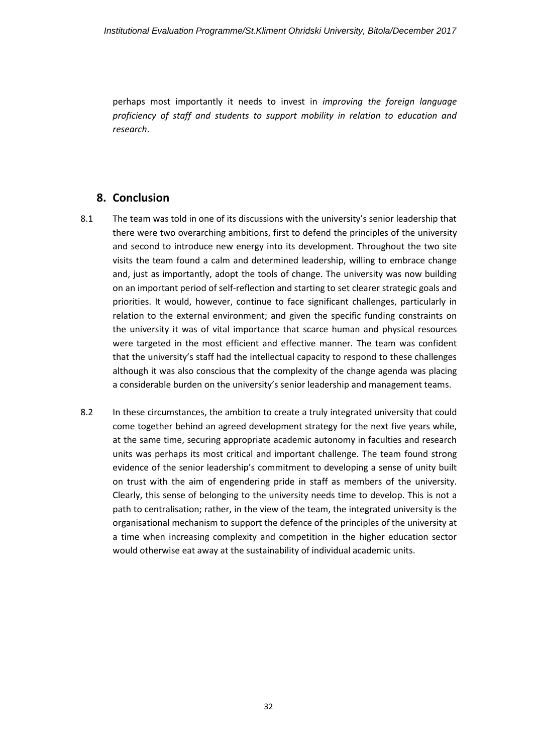perhaps most importantly it needs to invest in *improving the foreign language proficiency of staff and students to support mobility in relation to education and research*.

### <span id="page-31-0"></span>**8. Conclusion**

- 8.1 The team was told in one of its discussions with the university's senior leadership that there were two overarching ambitions, first to defend the principles of the university and second to introduce new energy into its development. Throughout the two site visits the team found a calm and determined leadership, willing to embrace change and, just as importantly, adopt the tools of change. The university was now building on an important period of self-reflection and starting to set clearer strategic goals and priorities. It would, however, continue to face significant challenges, particularly in relation to the external environment; and given the specific funding constraints on the university it was of vital importance that scarce human and physical resources were targeted in the most efficient and effective manner. The team was confident that the university's staff had the intellectual capacity to respond to these challenges although it was also conscious that the complexity of the change agenda was placing a considerable burden on the university's senior leadership and management teams.
- 8.2 In these circumstances, the ambition to create a truly integrated university that could come together behind an agreed development strategy for the next five years while, at the same time, securing appropriate academic autonomy in faculties and research units was perhaps its most critical and important challenge. The team found strong evidence of the senior leadership's commitment to developing a sense of unity built on trust with the aim of engendering pride in staff as members of the university. Clearly, this sense of belonging to the university needs time to develop. This is not a path to centralisation; rather, in the view of the team, the integrated university is the organisational mechanism to support the defence of the principles of the university at a time when increasing complexity and competition in the higher education sector would otherwise eat away at the sustainability of individual academic units.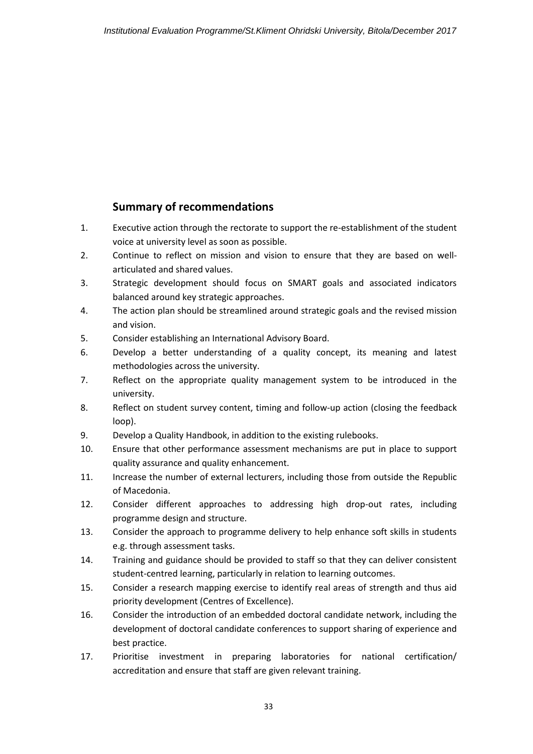# **Summary of recommendations**

- <span id="page-32-0"></span>1. Executive action through the rectorate to support the re-establishment of the student voice at university level as soon as possible.
- 2. Continue to reflect on mission and vision to ensure that they are based on wellarticulated and shared values.
- 3. Strategic development should focus on SMART goals and associated indicators balanced around key strategic approaches.
- 4. The action plan should be streamlined around strategic goals and the revised mission and vision.
- 5. Consider establishing an International Advisory Board.
- 6. Develop a better understanding of a quality concept, its meaning and latest methodologies across the university.
- 7. Reflect on the appropriate quality management system to be introduced in the university.
- 8. Reflect on student survey content, timing and follow-up action (closing the feedback loop).
- 9. Develop a Quality Handbook, in addition to the existing rulebooks.
- 10. Ensure that other performance assessment mechanisms are put in place to support quality assurance and quality enhancement.
- 11. Increase the number of external lecturers, including those from outside the Republic of Macedonia.
- 12. Consider different approaches to addressing high drop-out rates, including programme design and structure.
- 13. Consider the approach to programme delivery to help enhance soft skills in students e.g. through assessment tasks.
- 14. Training and guidance should be provided to staff so that they can deliver consistent student-centred learning, particularly in relation to learning outcomes.
- 15. Consider a research mapping exercise to identify real areas of strength and thus aid priority development (Centres of Excellence).
- 16. Consider the introduction of an embedded doctoral candidate network, including the development of doctoral candidate conferences to support sharing of experience and best practice.
- 17. Prioritise investment in preparing laboratories for national certification/ accreditation and ensure that staff are given relevant training.